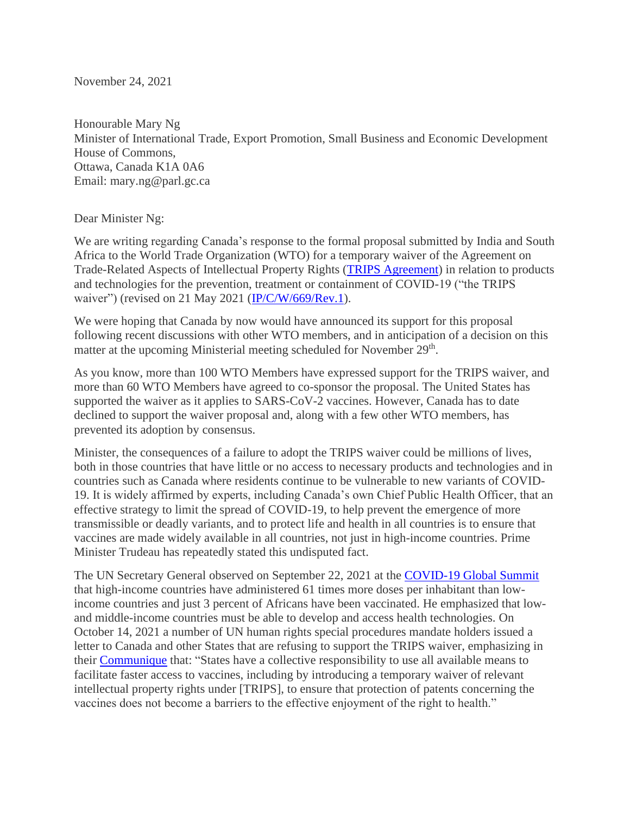November 24, 2021

Honourable Mary Ng Minister of International Trade, Export Promotion, Small Business and Economic Development House of Commons, Ottawa, Canada K1A 0A6 Email: mary.ng@parl.gc.ca

Dear Minister Ng:

We are writing regarding Canada's response to the formal proposal submitted by India and South Africa to the World Trade Organization (WTO) for a temporary waiver of the Agreement on Trade-Related Aspects of Intellectual Property Rights [\(TRIPS Agreement\)](https://www.wto.org/english/docs_e/legal_e/27-trips.pdf) in relation to products and technologies for the prevention, treatment or containment of COVID-19 ("the TRIPS waiver") (revised on 21 May 2021 [\(IP/C/W/669/Rev.1\)](https://docs.wto.org/dol2fe/Pages/SS/directdoc.aspx?filename=q:/IP/C/W669R1.pdf&Open=True).

We were hoping that Canada by now would have announced its support for this proposal following recent discussions with other WTO members, and in anticipation of a decision on this matter at the upcoming Ministerial meeting scheduled for November 29<sup>th</sup>.

As you know, more than 100 WTO Members have expressed support for the TRIPS waiver, and more than 60 WTO Members have agreed to co-sponsor the proposal. The United States has supported the waiver as it applies to SARS-CoV-2 vaccines. However, Canada has to date declined to support the waiver proposal and, along with a few other WTO members, has prevented its adoption by consensus.

Minister, the consequences of a failure to adopt the TRIPS waiver could be millions of lives, both in those countries that have little or no access to necessary products and technologies and in countries such as Canada where residents continue to be vulnerable to new variants of COVID-19. It is widely affirmed by experts, including Canada's own Chief Public Health Officer, that an effective strategy to limit the spread of COVID-19, to help prevent the emergence of more transmissible or deadly variants, and to protect life and health in all countries is to ensure that vaccines are made widely available in all countries, not just in high-income countries. Prime Minister Trudeau has repeatedly stated this undisputed fact.

The UN Secretary General observed on September 22, 2021 at the [COVID-19 Global Summit](https://www.un.org/sg/en/node/259385) that high-income countries have administered 61 times more doses per inhabitant than lowincome countries and just 3 percent of Africans have been vaccinated. He emphasized that lowand middle-income countries must be able to develop and access health technologies. On October 14, 2021 a number of UN human rights special procedures mandate holders issued a letter to Canada and other States that are refusing to support the TRIPS waiver, emphasizing in their [Communique](https://www.ohchr.org/EN/NewsEvents/Pages/DisplayNews.aspx?NewsID=27670&LangID=E) that: "States have a collective responsibility to use all available means to facilitate faster access to vaccines, including by introducing a temporary waiver of relevant intellectual property rights under [TRIPS], to ensure that protection of patents concerning the vaccines does not become a barriers to the effective enjoyment of the right to health."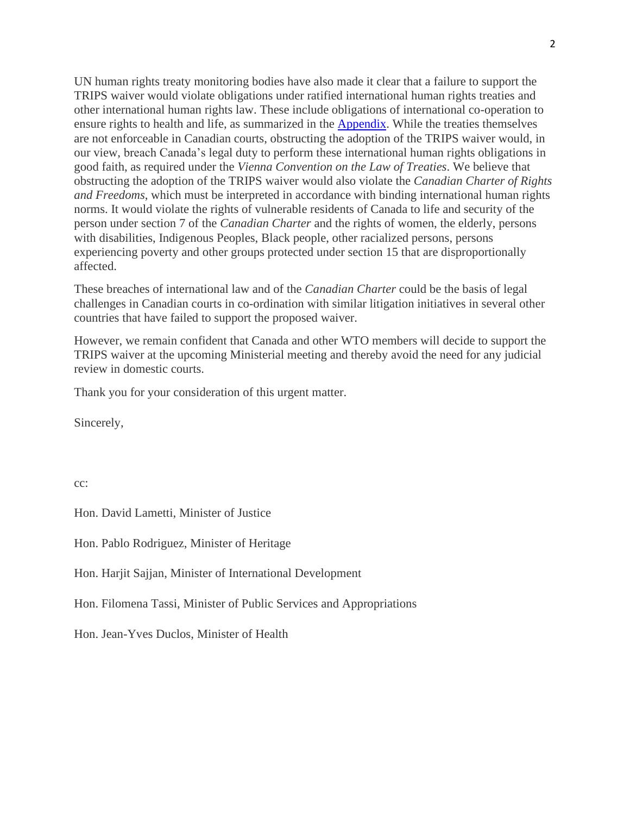UN human rights treaty monitoring bodies have also made it clear that a failure to support the TRIPS waiver would violate obligations under ratified international human rights treaties and other international human rights law. These include obligations of international co-operation to ensure rights to health and life, as summarized in the [Appendix.](http://www.socialrights.ca/2021/APPENDIX.pdf) While the treaties themselves are not enforceable in Canadian courts, obstructing the adoption of the TRIPS waiver would, in our view, breach Canada's legal duty to perform these international human rights obligations in good faith, as required under the *Vienna Convention on the Law of Treaties*. We believe that obstructing the adoption of the TRIPS waiver would also violate the *Canadian Charter of Rights and Freedoms*, which must be interpreted in accordance with binding international human rights norms. It would violate the rights of vulnerable residents of Canada to life and security of the person under section 7 of the *Canadian Charter* and the rights of women, the elderly, persons with disabilities, Indigenous Peoples, Black people, other racialized persons, persons experiencing poverty and other groups protected under section 15 that are disproportionally affected.

These breaches of international law and of the *Canadian Charter* could be the basis of legal challenges in Canadian courts in co-ordination with similar litigation initiatives in several other countries that have failed to support the proposed waiver.

However, we remain confident that Canada and other WTO members will decide to support the TRIPS waiver at the upcoming Ministerial meeting and thereby avoid the need for any judicial review in domestic courts.

Thank you for your consideration of this urgent matter.

Sincerely,

cc:

Hon. David Lametti, Minister of Justice

Hon. Pablo Rodriguez, Minister of Heritage

Hon. Harjit Sajjan, Minister of International Development

Hon. Filomena Tassi, Minister of Public Services and Appropriations

Hon. Jean-Yves Duclos, Minister of Health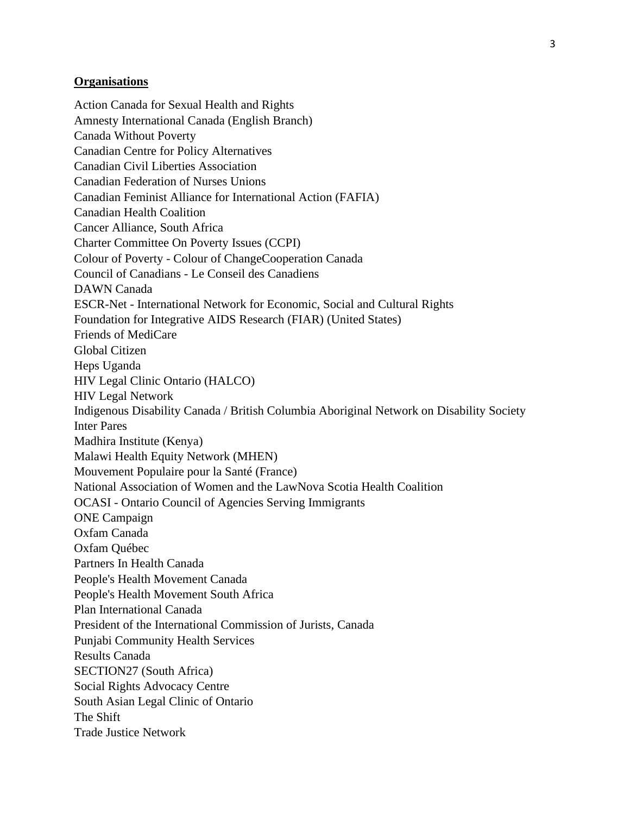## **Organisations**

Action Canada for Sexual Health and Rights Amnesty International Canada (English Branch) Canada Without Poverty Canadian Centre for Policy Alternatives Canadian Civil Liberties Association Canadian Federation of Nurses Unions Canadian Feminist Alliance for International Action (FAFIA) Canadian Health Coalition Cancer Alliance, South Africa Charter Committee On Poverty Issues (CCPI) Colour of Poverty - Colour of ChangeCooperation Canada Council of Canadians - Le Conseil des Canadiens DAWN Canada ESCR-Net - International Network for Economic, Social and Cultural Rights Foundation for Integrative AIDS Research (FIAR) (United States) Friends of MediCare Global Citizen Heps Uganda HIV Legal Clinic Ontario (HALCO) HIV Legal Network Indigenous Disability Canada / British Columbia Aboriginal Network on Disability Society Inter Pares Madhira Institute (Kenya) Malawi Health Equity Network (MHEN) Mouvement Populaire pour la Santé (France) National Association of Women and the LawNova Scotia Health Coalition OCASI - Ontario Council of Agencies Serving Immigrants ONE Campaign Oxfam Canada Oxfam Québec Partners In Health Canada People's Health Movement Canada People's Health Movement South Africa Plan International Canada President of the International Commission of Jurists, Canada Punjabi Community Health Services Results Canada SECTION27 (South Africa) Social Rights Advocacy Centre South Asian Legal Clinic of Ontario The Shift Trade Justice Network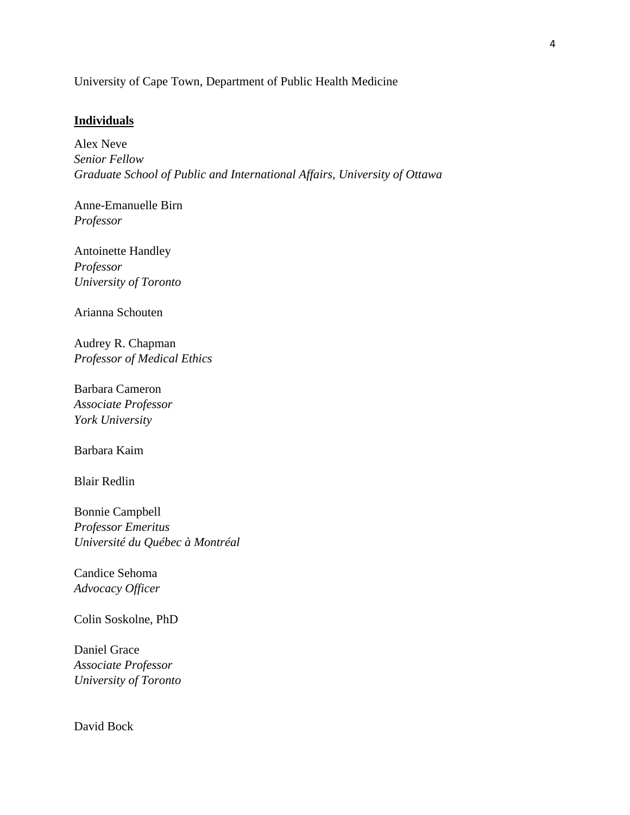University of Cape Town, Department of Public Health Medicine

## **Individuals**

Alex Neve *Senior Fellow Graduate School of Public and International Affairs, University of Ottawa*

Anne-Emanuelle Birn *Professor*

Antoinette Handley *Professor University of Toronto* 

Arianna Schouten

Audrey R. Chapman *Professor of Medical Ethics*

Barbara Cameron *Associate Professor York University*

Barbara Kaim

Blair Redlin

Bonnie Campbell *Professor Emeritus Université du Québec à Montréal*

Candice Sehoma *Advocacy Officer* 

Colin Soskolne, PhD

Daniel Grace *Associate Professor University of Toronto*

David Bock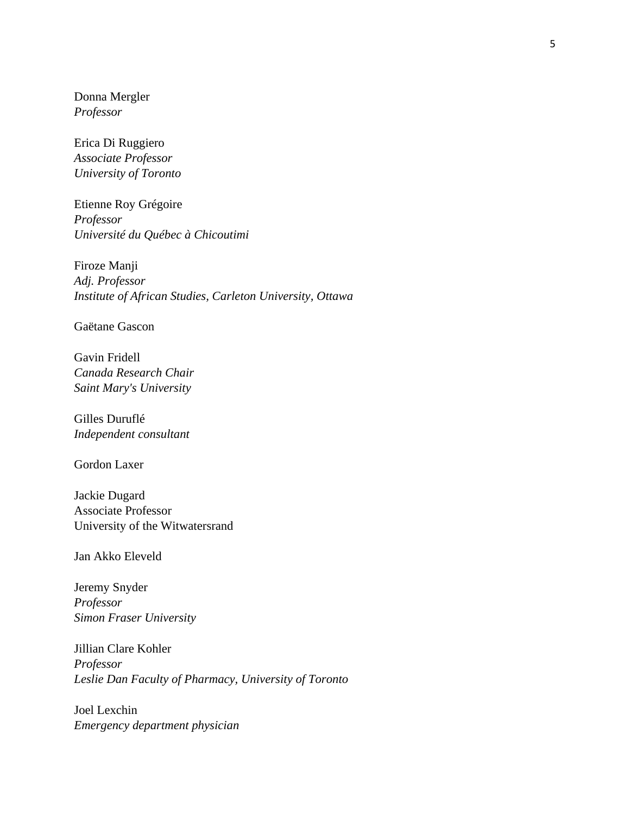Donna Mergler *Professor*

Erica Di Ruggiero *Associate Professor University of Toronto*

Etienne Roy Grégoire *Professor Université du Québec à Chicoutimi*

Firoze Manji *Adj. Professor Institute of African Studies, Carleton University, Ottawa*

Gaëtane Gascon

Gavin Fridell *Canada Research Chair Saint Mary's University*

Gilles Duruflé *Independent consultant*

Gordon Laxer

Jackie Dugard Associate Professor University of the Witwatersrand

Jan Akko Eleveld

Jeremy Snyder *Professor Simon Fraser University*

Jillian Clare Kohler *Professor Leslie Dan Faculty of Pharmacy, University of Toronto*

Joel Lexchin *Emergency department physician*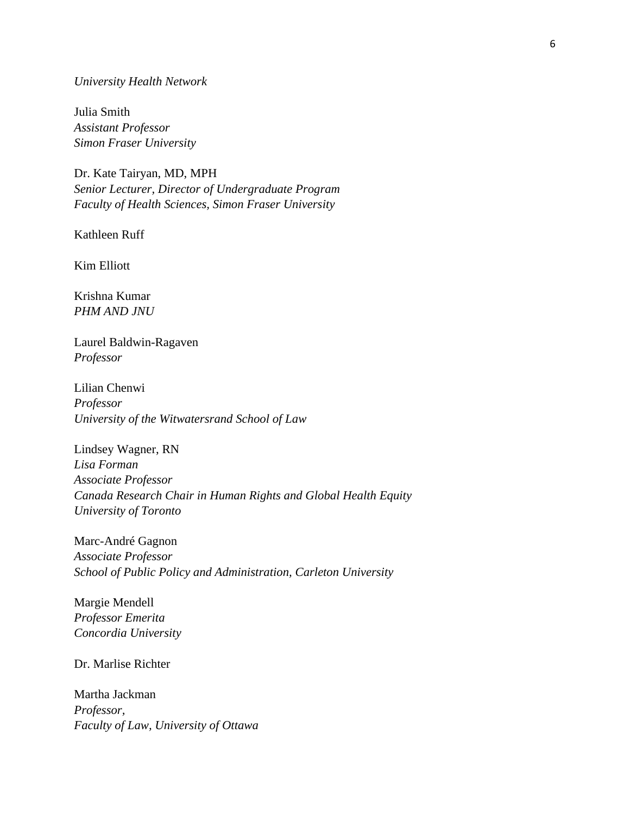## *University Health Network*

Julia Smith *Assistant Professor Simon Fraser University*

Dr. Kate Tairyan, MD, MPH *Senior Lecturer, Director of Undergraduate Program Faculty of Health Sciences, Simon Fraser University* 

Kathleen Ruff

Kim Elliott

Krishna Kumar *PHM AND JNU*

Laurel Baldwin-Ragaven *Professor*

Lilian Chenwi *Professor University of the Witwatersrand School of Law*

Lindsey Wagner, RN *Lisa Forman Associate Professor Canada Research Chair in Human Rights and Global Health Equity University of Toronto*

Marc-André Gagnon *Associate Professor School of Public Policy and Administration, Carleton University*

Margie Mendell *Professor Emerita Concordia University*

Dr. Marlise Richter

Martha Jackman *Professor, Faculty of Law, University of Ottawa*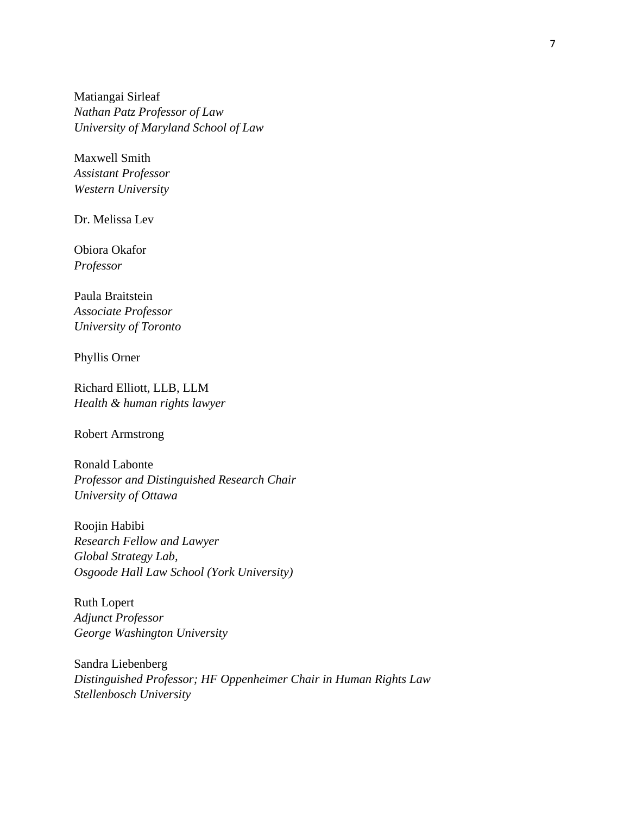Matiangai Sirleaf *Nathan Patz Professor of Law University of Maryland School of Law*

Maxwell Smith *Assistant Professor Western University*

Dr. Melissa Lev

Obiora Okafor *Professor*

Paula Braitstein *Associate Professor University of Toronto*

Phyllis Orner

Richard Elliott, LLB, LLM *Health & human rights lawyer*

Robert Armstrong

Ronald Labonte *Professor and Distinguished Research Chair University of Ottawa*

Roojin Habibi *Research Fellow and Lawyer Global Strategy Lab, Osgoode Hall Law School (York University)*

Ruth Lopert *Adjunct Professor George Washington University*

Sandra Liebenberg *Distinguished Professor; HF Oppenheimer Chair in Human Rights Law Stellenbosch University*